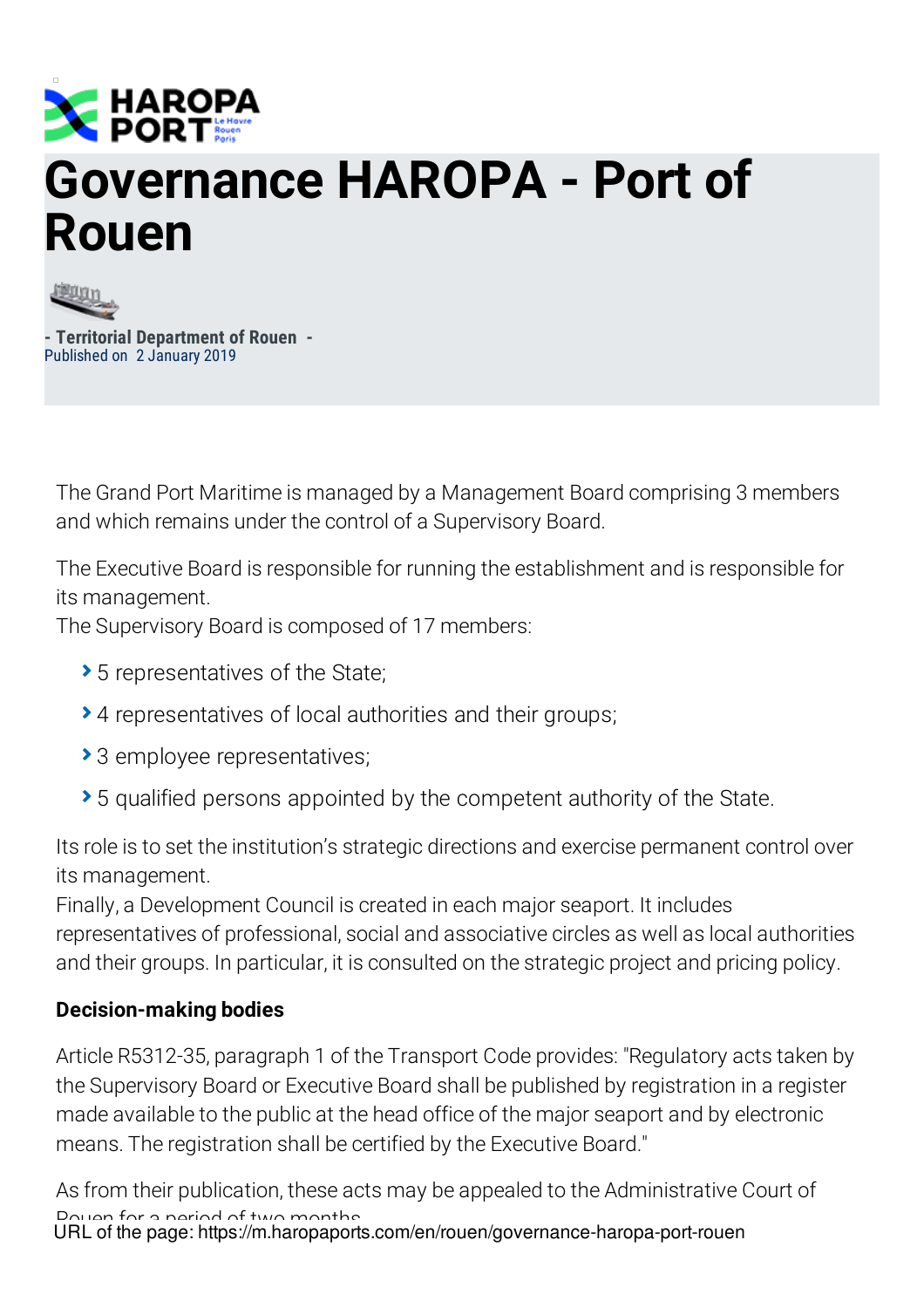

## **Governance HAROPA - Port of Rouen**



**- Territorial Department of Rouen -** Published on 2 January 2019

The Grand Port Maritime is managed by a Management Board comprising 3 members and which remains under the control of a Supervisory Board.

The Executive Board is responsible for running the establishment and is responsible for its management.

The Supervisory Board is composed of 17 members:

- ▶ 5 representatives of the State;
- 4 representatives of local authorities and their groups;
- ▶ 3 employee representatives;
- 5 qualified persons appointed by the competent authority of the State.

Its role is to set the institution's strategic directions and exercise permanent control over its management.

Finally, a Development Council is created in each major seaport. It includes representatives of professional, social and associative circles as well as local authorities and their groups. In particular, it is consulted on the strategic project and pricing policy.

## **Decision-making bodies**

Article R5312-35, paragraph 1 of the Transport Code provides: "Regulatory acts taken by the Supervisory Board or Executive Board shall be published by registration in a register made available to the public at the head office of the major seaport and by electronic means. The registration shall be certified by the Executive Board."

As from their publication, these acts may be appealed to the Administrative Court of Dougo for a period of two months URL of the page: https://m.haropaports.com/en/rouen/governance-haropa-port-rouen